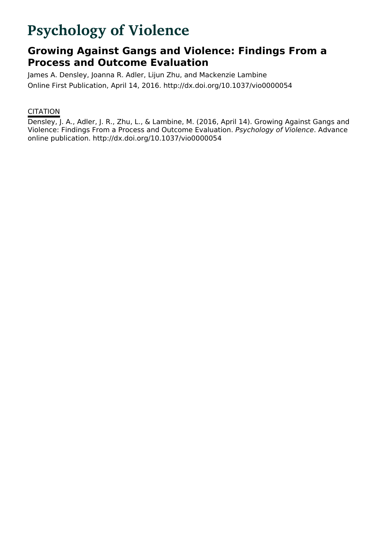# **Psychology of Violence**

# **Growing Against Gangs and Violence: Findings From a Process and Outcome Evaluation**

James A. Densley, Joanna R. Adler, Lijun Zhu, and Mackenzie Lambine Online First Publication, April 14, 2016. http://dx.doi.org/10.1037/vio0000054

### **CITATION**

Densley, J. A., Adler, J. R., Zhu, L., & Lambine, M. (2016, April 14). Growing Against Gangs and Violence: Findings From a Process and Outcome Evaluation. Psychology of Violence. Advance online publication. http://dx.doi.org/10.1037/vio0000054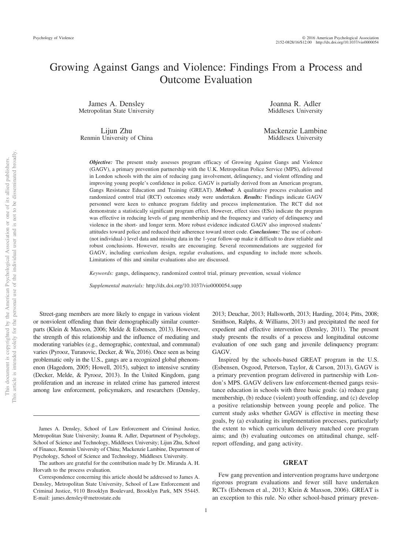## Growing Against Gangs and Violence: Findings From a Process and Outcome Evaluation

James A. Densley Metropolitan State University

Lijun Zhu Renmin University of China

Joanna R. Adler Middlesex University

Mackenzie Lambine Middlesex University

*Objective:* The present study assesses program efficacy of Growing Against Gangs and Violence (GAGV), a primary prevention partnership with the U.K. Metropolitan Police Service (MPS), delivered in London schools with the aim of reducing gang involvement, delinquency, and violent offending and improving young people's confidence in police. GAGV is partially derived from an American program, Gangs Resistance Education and Training (GREAT). *Method:* A qualitative process evaluation and randomized control trial (RCT) outcomes study were undertaken. *Results:* Findings indicate GAGV personnel were keen to enhance program fidelity and process implementation. The RCT did not demonstrate a statistically significant program effect. However, effect sizes (ESs) indicate the program was effective in reducing levels of gang membership and the frequency and variety of delinquency and violence in the short- and longer term. More robust evidence indicated GAGV also improved students' attitudes toward police and reduced their adherence toward street code. *Conclusions:* The use of cohort- (not individual-) level data and missing data in the 1-year follow-up make it difficult to draw reliable and robust conclusions. However, results are encouraging. Several recommendations are suggested for GAGV, including curriculum design, regular evaluations, and expanding to include more schools. Limitations of this and similar evaluations also are discussed.

*Keywords:* gangs, delinquency, randomized control trial, primary prevention, sexual violence

*Supplemental materials:* http://dx.doi.org/10.1037/vio0000054.supp

Street-gang members are more likely to engage in various violent or nonviolent offending than their demographically similar counterparts (Klein & Maxson, 2006; Melde & Esbensen, 2013). However, the strength of this relationship and the influence of mediating and moderating variables (e.g., demographic, contextual, and communal) varies (Pyrooz, Turanovic, Decker, & Wu, 2016). Once seen as being problematic only in the U.S., gangs are a recognized global phenomenon (Hagedorn, 2005; Howell, 2015), subject to intensive scrutiny (Decker, Melde, & Pyrooz, 2013). In the United Kingdom, gang proliferation and an increase in related crime has garnered interest among law enforcement, policymakers, and researchers (Densley,

The authors are grateful for the contribution made by Dr. Miranda A. H. Horvath to the process evaluation.

2013; Deuchar, 2013; Hallsworth, 2013; Harding, 2014; Pitts, 2008; Smithson, Ralphs, & Williams, 2013) and precipitated the need for expedient and effective intervention (Densley, 2011). The present study presents the results of a process and longitudinal outcome evaluation of one such gang and juvenile delinquency program: GAGV.

Inspired by the schools-based GREAT program in the U.S. (Esbensen, Osgood, Peterson, Taylor, & Carson, 2013), GAGV is a primary prevention program delivered in partnership with London's MPS. GAGV delivers law enforcement-themed gangs resistance education in schools with three basic goals: (a) reduce gang membership, (b) reduce (violent) youth offending, and (c) develop a positive relationship between young people and police. The current study asks whether GAGV is effective in meeting these goals, by (a) evaluating its implementation processes, particularly the extent to which curriculum delivery matched core program aims; and (b) evaluating outcomes on attitudinal change, selfreport offending, and gang activity.

#### **GREAT**

Few gang prevention and intervention programs have undergone rigorous program evaluations and fewer still have undertaken RCTs (Esbensen et al., 2013; Klein & Maxson, 2006). GREAT is an exception to this rule. No other school-based primary preven-

James A. Densley, School of Law Enforcement and Criminal Justice, Metropolitan State University; Joanna R. Adler, Department of Psychology, School of Science and Technology, Middlesex University; Lijun Zhu, School of Finance, Renmin University of China; Mackenzie Lambine, Department of Psychology, School of Science and Technology, Middlesex University.

Correspondence concerning this article should be addressed to James A. Densley, Metropolitan State University, School of Law Enforcement and Criminal Justice, 9110 Brooklyn Boulevard, Brooklyn Park, MN 55445. E-mail: james.densley@metrostate.edu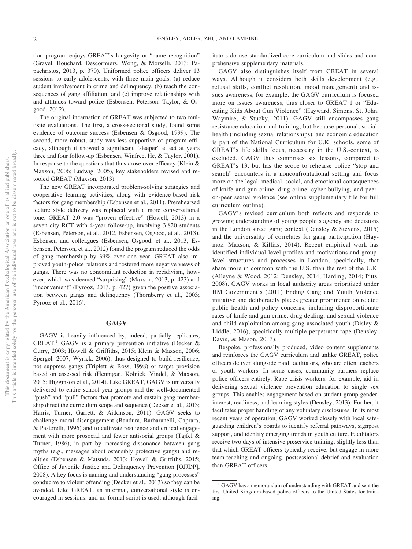tion program enjoys GREAT's longevity or "name recognition" (Gravel, Bouchard, Descormiers, Wong, & Morselli, 2013; Papachristos, 2013, p. 370). Uniformed police officers deliver 13 sessions to early adolescents, with three main goals: (a) reduce student involvement in crime and delinquency, (b) teach the consequences of gang affiliation, and (c) improve relationships with and attitudes toward police (Esbensen, Peterson, Taylor, & Osgood, 2012).

The original incarnation of GREAT was subjected to two multisite evaluations. The first, a cross-sectional study, found some evidence of outcome success (Esbensen & Osgood, 1999). The second, more robust, study was less supportive of program efficacy, although it showed a significant "sleeper" effect at years three and four follow-up (Esbensen, Winfree, He, & Taylor, 2001). In response to the questions that thus arose over efficacy (Klein  $\&$ Maxson, 2006; Ludwig, 2005), key stakeholders revised and retooled GREAT (Maxson, 2013).

The new GREAT incorporated problem-solving strategies and cooperative learning activities, along with evidence-based risk factors for gang membership (Esbensen et al., 2011). Prerehearsed lecture style delivery was replaced with a more conversational tone. GREAT 2.0 was "proven effective" (Howell, 2013) in a seven city RCT with 4-year follow-up, involving 3,820 students (Esbensen, Peterson, et al., 2012, Esbensen, Osgood, et al., 2013). Esbensen and colleagues (Esbensen, Osgood, et al., 2013; Esbensen, Peterson, et al., 2012) found the program reduced the odds of gang membership by 39% over one year. GREAT also improved youth-police relations and fostered more negative views of gangs. There was no concomitant reduction in recidivism, however, which was deemed "surprising" (Maxson, 2013, p. 423) and "inconvenient" (Pyrooz, 2013, p. 427) given the positive association between gangs and delinquency (Thornberry et al., 2003; Pyrooz et al., 2016).

#### **GAGV**

GAGV is heavily influenced by, indeed, partially replicates, GREAT.<sup>1</sup> GAGV is a primary prevention initiative (Decker & Curry, 2003; Howell & Griffiths, 2015; Klein & Maxson, 2006; Spergel, 2007; Wyrick, 2006), thus designed to build resilience, not suppress gangs (Triplett & Ross, 1998) or target provision based on assessed risk (Hennigan, Kolnick, Vindel, & Maxson, 2015; Higginson et al., 2014). Like GREAT, GAGV is universally delivered to entire school year groups and the well-documented "push" and "pull" factors that promote and sustain gang membership direct the curriculum scope and sequence (Decker et al., 2013; Harris, Turner, Garrett, & Aitkinson, 2011). GAGV seeks to challenge moral disengagement (Bandura, Barbaranelli, Caprara, & Pastorelli, 1996) and to cultivate resilience and critical engagement with more prosocial and fewer antisocial groups (Tajfel & Turner, 1986), in part by increasing dissonance between gang myths (e.g., messages about ostensibly protective gangs) and realities (Esbensen & Matsuda, 2013; Howell & Griffiths, 2015; Office of Juvenile Justice and Delinquency Prevention [OJJDP], 2008). A key focus is naming and understanding "gang processes" conducive to violent offending (Decker et al., 2013) so they can be avoided. Like GREAT, an informal, conversational style is encouraged in sessions, and no formal script is used, although facilitators do use standardized core curriculum and slides and comprehensive supplementary materials.

GAGV also distinguishes itself from GREAT in several ways. Although it considers both skills development (e.g., refusal skills, conflict resolution, mood management) and issues awareness, for example, the GAGV curriculum is focused more on issues awareness, thus closer to GREAT 1 or "Educating Kids About Gun Violence" (Hayward, Simons, St. John, Waymire, & Stucky, 2011). GAGV still encompasses gang resistance education and training, but because personal, social, health (including sexual relationships), and economic education is part of the National Curriculum for U.K. schools, some of GREAT's life skills focus, necessary in the U.S.-context, is excluded. GAGV thus comprises six lessons, compared to GREAT's 13, but has the scope to rehearse police "stop and search" encounters in a nonconfrontational setting and focus more on the legal, medical, social, and emotional consequences of knife and gun crime, drug crime, cyber bullying, and peeron-peer sexual violence (see online supplementary file for full curriculum outline).

GAGV's revised curriculum both reflects and responds to growing understanding of young people's agency and decisions in the London street gang context (Densley & Stevens, 2015) and the universality of correlates for gang participation (Haymoz, Maxson, & Killias, 2014). Recent empirical work has identified individual-level profiles and motivations and grouplevel structures and processes in London, specifically, that share more in common with the U.S. than the rest of the U.K. (Alleyne & Wood, 2012; Densley, 2014; Harding, 2014; Pitts, 2008). GAGV works in local authority areas prioritized under HM Government's (2011) Ending Gang and Youth Violence initiative and deliberately places greater prominence on related public health and policy concerns, including disproportionate rates of knife and gun crime, drug dealing, and sexual violence and child exploitation among gang-associated youth (Disley & Liddle, 2016), specifically multiple perpetrator rape (Densley, Davis, & Mason, 2013).

Bespoke, professionally produced, video content supplements and reinforces the GAGV curriculum and unlike GREAT, police officers deliver alongside paid facilitators, who are often teachers or youth workers. In some cases, community partners replace police officers entirely. Rape crisis workers, for example, aid in delivering sexual violence prevention education to single sex groups. This enables engagement based on student group gender, interest, readiness, and learning styles (Densley, 2013). Further, it facilitates proper handling of any voluntary disclosures. In its most recent years of operation, GAGV worked closely with local safeguarding children's boards to identify referral pathways, signpost support, and identify emerging trends in youth culture. Facilitators receive two days of intensive preservice training, slightly less than that which GREAT officers typically receive, but engage in more team-teaching and ongoing, postsessional debrief and evaluation than GREAT officers.

<sup>&</sup>lt;sup>1</sup> GAGV has a memorandum of understanding with GREAT and sent the first United Kingdom-based police officers to the United States for training.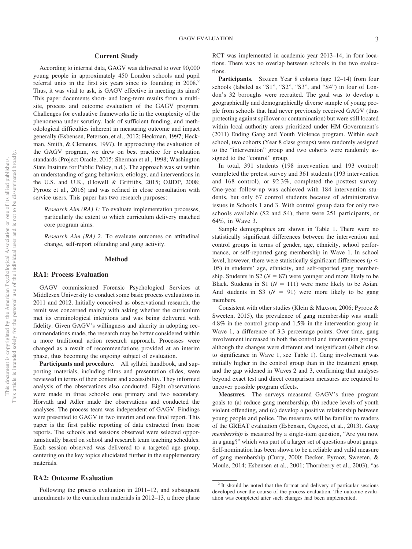#### **Current Study**

According to internal data, GAGV was delivered to over 90,000 young people in approximately 450 London schools and pupil referral units in the first six years since its founding in 2008.<sup>2</sup> Thus, it was vital to ask, is GAGV effective in meeting its aims? This paper documents short- and long-term results from a multisite, process and outcome evaluation of the GAGV program. Challenges for evaluative frameworks lie in the complexity of the phenomena under scrutiny, lack of sufficient funding, and methodological difficulties inherent in measuring outcome and impact generally (Esbensen, Peterson, et al., 2012; Heckman, 1997; Heckman, Smith, & Clements, 1997). In approaching the evaluation of the GAGV program, we drew on best practice for evaluation standards (Project Oracle, 2015; Sherman et al., 1998; Washington State Institute for Public Policy, n.d.). The approach was set within an understanding of gang behaviors, etiology, and interventions in the U.S. and U.K., (Howell & Griffiths, 2015; OJJDP, 2008; Pyrooz et al., 2016) and was refined in close consultation with service users. This paper has two research purposes:

*Research Aim (RA) 1:* To evaluate implementation processes, particularly the extent to which curriculum delivery matched core program aims.

*Research Aim (RA) 2:* To evaluate outcomes on attitudinal change, self-report offending and gang activity.

#### **Method**

#### **RA1: Process Evaluation**

GAGV commissioned Forensic Psychological Services at Middlesex University to conduct some basic process evaluations in 2011 and 2012. Initially conceived as observational research, the remit was concerned mainly with asking whether the curriculum met its criminological intentions and was being delivered with fidelity. Given GAGV's willingness and alacrity in adopting recommendations made, the research may be better considered within a more traditional action research approach. Processes were changed as a result of recommendations provided at an interim phase, thus becoming the ongoing subject of evaluation.

Participants and procedure. All syllabi, handbook, and supporting materials, including films and presentation slides, were reviewed in terms of their content and accessibility. They informed analysis of the observations also conducted. Eight observations were made in three schools: one primary and two secondary. Horvath and Adler made the observations and conducted the analyses. The process team was independent of GAGV. Findings were presented to GAGV in two interim and one final report. This paper is the first public reporting of data extracted from those reports. The schools and sessions observed were selected opportunistically based on school and research team teaching schedules. Each session observed was delivered to a targeted age group, centering on the key topics elucidated further in the supplementary materials.

#### **RA2: Outcome Evaluation**

Following the process evaluation in 2011–12, and subsequent amendments to the curriculum materials in 2012–13, a three phase

RCT was implemented in academic year 2013–14, in four locations. There was no overlap between schools in the two evaluations.

Participants. Sixteen Year 8 cohorts (age 12-14) from four schools (labeled as "S1", "S2", "S3", and "S4") in four of London's 32 boroughs were recruited. The goal was to develop a geographically and demographically diverse sample of young people from schools that had never previously received GAGV (thus protecting against spillover or contamination) but were still located within local authority areas prioritized under HM Government's (2011) Ending Gang and Youth Violence program. Within each school, two cohorts (Year 8 class groups) were randomly assigned to the "intervention" group and two cohorts were randomly assigned to the "control" group.

In total, 391 students (198 intervention and 193 control) completed the pretest survey and 361 students (193 intervention and 168 control), or 92.3%, completed the posttest survey. One-year follow-up was achieved with 184 intervention students, but only 67 control students because of administrative issues in Schools 1 and 3. With control group data for only two schools available (S2 and S4), there were 251 participants, or 64%, in Wave 3.

Sample demographics are shown in Table 1. There were no statistically significant differences between the intervention and control groups in terms of gender, age, ethnicity, school performance, or self-reported gang membership in Wave 1. In school level, however, there were statistically significant differences ( $p <$ .05) in students' age, ethnicity, and self-reported gang membership. Students in S2 ( $N = 87$ ) were younger and more likely to be Black. Students in S1 ( $N = 111$ ) were more likely to be Asian. And students in S3  $(N = 91)$  were more likely to be gang members.

Consistent with other studies (Klein & Maxson, 2006; Pyrooz & Sweeten, 2015), the prevalence of gang membership was small: 4.8% in the control group and 1.5% in the intervention group in Wave 1, a difference of 3.3 percentage points. Over time, gang involvement increased in both the control and intervention groups, although the changes were different and insignificant (albeit close to significance in Wave 1, see Table 1). Gang involvement was initially higher in the control group than in the treatment group, and the gap widened in Waves 2 and 3, confirming that analyses beyond exact test and direct comparison measures are required to uncover possible program effects.

**Measures.** The surveys measured GAGV's three program goals to (a) reduce gang membership, (b) reduce levels of youth violent offending, and (c) develop a positive relationship between young people and police. The measures will be familiar to readers of the GREAT evaluation (Esbensen, Osgood, et al., 2013). *Gang membership* is measured by a single-item question, "Are you now in a gang?" which was part of a larger set of questions about gangs. Self-nomination has been shown to be a reliable and valid measure of gang membership (Curry, 2000; Decker, Pyrooz, Sweeten, & Moule, 2014; Esbensen et al., 2001; Thornberry et al., 2003), "as

<sup>&</sup>lt;sup>2</sup> It should be noted that the format and delivery of particular sessions developed over the course of the process evaluation. The outcome evaluation was completed after such changes had been implemented.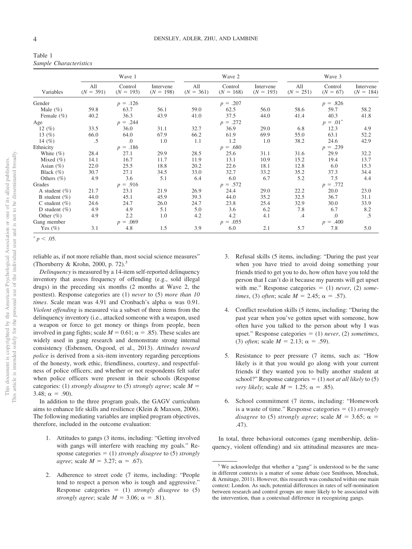| Table 1 |                        |
|---------|------------------------|
|         | Sample Characteristics |

|                   | Wave 1             |                        |                          | Wave 2             |                        |                          | Wave 3             |                       |                          |
|-------------------|--------------------|------------------------|--------------------------|--------------------|------------------------|--------------------------|--------------------|-----------------------|--------------------------|
| Variables         | All<br>$(N = 391)$ | Control<br>$(N = 193)$ | Intervene<br>$(N = 198)$ | All<br>$(N = 361)$ | Control<br>$(N = 168)$ | Intervene<br>$(N = 193)$ | All<br>$(N = 251)$ | Control<br>$(N = 67)$ | Intervene<br>$(N = 184)$ |
| Gender            |                    | $p = .126$             |                          |                    | $p = .207$             |                          |                    | $p = .826$            |                          |
| Male $(\% )$      | 59.8               | 63.7                   | 56.1                     | 59.0               | 62.5                   | 56.0                     | 58.6               | 59.7                  | 58.2                     |
| Female $(\% )$    | 40.2               | 36.3                   | 43.9                     | 41.0               | 37.5                   | 44.0                     | 41.4               | 40.3                  | 41.8                     |
| Age               |                    | $p = .244$             |                          |                    | $p = .272$             |                          |                    | $p = .01^*$           |                          |
| 12 $(\%)$         | 33.5               | 36.0                   | 31.1                     | 32.7               | 36.9                   | 29.0                     | 6.8                | 12.3                  | 4.9                      |
| 13 $(%)$          | 66.0               | 64.0                   | 67.9                     | 66.2               | 61.9                   | 69.9                     | 55.0               | 63.1                  | 52.2                     |
| 14 $(\% )$        | .5                 | .0                     | 1.0                      | 1.1                | 1.2                    | 1.0                      | 38.2               | 24.6                  | 42.9                     |
| Ethnicity         |                    | $p = .186$             |                          |                    | $p = .680$             |                          |                    | $p = .239$            |                          |
| White $(\% )$     | 28.4               | 27.1                   | 29.9                     | 28.5               | 25.6                   | 31.1                     | 31.6               | 29.9                  | 32.2                     |
| Mixed $(\% )$     | 14.1               | 16.7                   | 11.7                     | 11.9               | 13.1                   | 10.9                     | 15.2               | 19.4                  | 13.7                     |
| Asian $(\% )$     | 22.0               | 25.5                   | 18.8                     | 20.2               | 22.6                   | 18.1                     | 12.8               | 6.0                   | 15.3                     |
| Black $(\% )$     | 30.7               | 27.1                   | 34.5                     | 33.0               | 32.7                   | 33.2                     | 35.2               | 37.3                  | 34.4                     |
| Others $(\% )$    | 4.9                | 3.6                    | 5.1                      | 6.4                | 6.0                    | 6.7                      | 5.2                | 7.5                   | 4.4                      |
| Grades            |                    | $p = .916$             |                          |                    | $p = .572$             |                          |                    | $p = .772$            |                          |
| A student $(\% )$ | 21.7               | 23.1                   | 21.9                     | 26.9               | 24.4                   | 29.0                     | 22.2               | 20.0                  | 23.0                     |
| B student $(\% )$ | 44.0               | 45.1                   | 45.9                     | 39.3               | 44.0                   | 35.2                     | 32.5               | 36.7                  | 31.1                     |
| C student $(\% )$ | 24.6               | 24.7                   | 26.0                     | 24.7               | 23.8                   | 25.4                     | 32.9               | 30.0                  | 33.9                     |
| D student $(\% )$ | 4.9                | 4.9                    | 5.1                      | 5.0                | 3.6                    | 6.2                      | 7.8                | 6.7                   | 8.2                      |
| Other $(\% )$     | 4.9                | 2.2                    | 1.0                      | 4.2                | 4.2                    | 4.1                      | $.4\,$             | $\cdot$               | .5                       |
| Gang member       |                    | $p = .069$             |                          |                    | $p = .055$             |                          |                    | $p = .400$            |                          |
| Yes $(\% )$       | 3.1                | 4.8                    | 1.5                      | 3.9                | 6.0                    | 2.1                      | 5.7                | 7.8                   | 5.0                      |

 $p < .05$ .

reliable as, if not more reliable than, most social science measures" (Thornberry & Krohn, 2000, p. 72).3

*Delinquency* is measured by a 14-item self-reported delinquency inventory that assess frequency of offending (e.g., sold illegal drugs) in the preceding six months (2 months at Wave 2, the posttest). Response categories are (1) *never* to (5) *more than 10 times*. Scale mean was 4.91 and Cronbach's alpha  $\alpha$  was 0.91. *Violent offending* is measured via a subset of three items from the delinquency inventory (i.e., attacked someone with a weapon, used a weapon or force to get money or things from people, been involved in gang fights; scale  $M = 0.61$ ;  $\alpha = .85$ ). These scales are widely used in gang research and demonstrate strong internal consistency (Esbensen, Osgood, et al., 2013). *Attitudes toward police* is derived from a six-item inventory regarding perceptions of the honesty, work ethic, friendliness, courtesy, and respectfulness of police officers; and whether or not respondents felt safer when police officers were present in their schools (Response categories: (1) *strongly disagree* to (5) *strongly agree*; scale *M*  $3.48$ ;  $\alpha = .90$ ).

In addition to the three program goals, the GAGV curriculum aims to enhance life skills and resilience (Klein & Maxson, 2006). The following mediating variables are implied program objectives, therefore, included in the outcome evaluation:

- 1. Attitudes to gangs (3 items, including: "Getting involved with gangs will interfere with reaching my goals." Response categories  $= (1)$  *strongly disagree* to (5) *strongly agree*; scale  $M = 3.27$ ;  $\alpha = .67$ ).
- 2. Adherence to street code (7 items, including: "People tend to respect a person who is tough and aggressive." Response categories  $= (1)$  *strongly disagree* to  $(5)$ *strongly agree*; scale  $M = 3.06$ ;  $\alpha = .81$ ).
- 3. Refusal skills (5 items, including: "During the past year when you have tried to avoid doing something your friends tried to get you to do, how often have you told the person that I can't do it because my parents will get upset with me." Response categories  $= (1)$  *never*, (2) *sometimes*, (3) *often*; scale  $M = 2.45$ ;  $\alpha = .57$ ).
- 4. Conflict resolution skills (5 items, including: "During the past year when you've gotten upset with someone, how often have you talked to the person about why I was upset." Response categories (1) *never*, (2) *sometimes*, (3) *often*; scale  $M = 2.13$ ;  $\alpha = .59$ .
- 5. Resistance to peer pressure (7 items, such as: "How likely is it that you would go along with your current friends if they wanted you to bully another student at school?" Response categories  $= (1)$  *not at all likely* to (5) *very likely*; scale  $M = 1.25$ ;  $\alpha = .85$ ).
- School commitment (7 items, including: "Homework is a waste of time." Response categories  $= (1)$  *strongly disagree* to (5) *strongly agree*; scale  $M = 3.65$ ;  $\alpha$  = .47).

In total, three behavioral outcomes (gang membership, delinquency, violent offending) and six attitudinal measures are mea-

 $3$  We acknowledge that whether a "gang" is understood to be the same in different contexts is a matter of some debate (see Smithson, Monchuk, & Armitage, 2011). However, this research was conducted within one main context: London. As such, potential differences in rates of self-nomination between research and control groups are more likely to be associated with the intervention, than a contextual difference in recognizing gangs.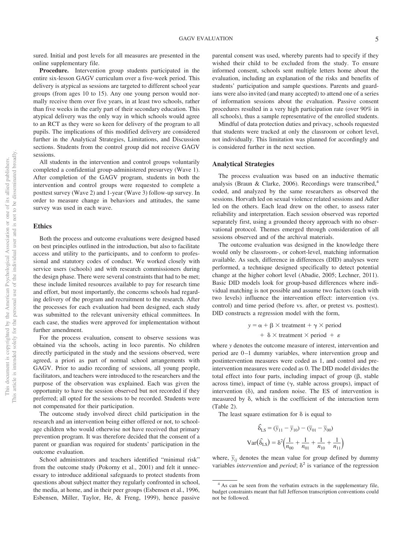sured. Initial and post levels for all measures are presented in the online supplementary file.

**Procedure.** Intervention group students participated in the entire six-lesson GAGV curriculum over a five-week period. This delivery is atypical as sessions are targeted to different school year groups (from ages 10 to 15). Any one young person would normally receive them over five years, in at least two schools, rather than five weeks in the early part of their secondary education. This atypical delivery was the only way in which schools would agree to an RCT as they were so keen for delivery of the program to all pupils. The implications of this modified delivery are considered further in the Analytical Strategies, Limitations, and Discussion sections. Students from the control group did not receive GAGV sessions.

All students in the intervention and control groups voluntarily completed a confidential group-administered presurvey (Wave 1). After completion of the GAGV program, students in both the intervention and control groups were requested to complete a posttest survey (Wave 2) and 1-year (Wave 3) follow-up survey. In order to measure change in behaviors and attitudes, the same survey was used in each wave.

#### **Ethics**

Both the process and outcome evaluations were designed based on best principles outlined in the introduction, but also to facilitate access and utility to the participants, and to conform to professional and statutory codes of conduct. We worked closely with service users (schools) and with research commissioners during the design phase. There were several constraints that had to be met; these include limited resources available to pay for research time and effort, but most importantly, the concerns schools had regarding delivery of the program and recruitment to the research. After the processes for each evaluation had been designed, each study was submitted to the relevant university ethical committees. In each case, the studies were approved for implementation without further amendment.

For the process evaluation, consent to observe sessions was obtained via the schools, acting in loco parentis. No children directly participated in the study and the sessions observed, were agreed, a priori as part of normal school arrangements with GAGV. Prior to audio recording of sessions, all young people, facilitators, and teachers were introduced to the researchers and the purpose of the observation was explained. Each was given the opportunity to have the session observed but not recorded if they preferred; all opted for the sessions to be recorded. Students were not compensated for their participation.

The outcome study involved direct child participation in the research and an intervention being either offered or not, to schoolage children who would otherwise not have received that primary prevention program. It was therefore decided that the consent of a parent or guardian was required for students' participation in the outcome evaluation.

School administrators and teachers identified "minimal risk" from the outcome study (Pokorny et al., 2001) and felt it unnecessary to introduce additional safeguards to protect students from questions about subject matter they regularly confronted in school, the media, at home, and in their peer groups (Esbensen et al., 1996, Esbensen, Miller, Taylor, He, & Freng, 1999), hence passive

parental consent was used, whereby parents had to specify if they wished their child to be excluded from the study. To ensure informed consent, schools sent multiple letters home about the evaluation, including an explanation of the risks and benefits of students' participation and sample questions. Parents and guardians were also invited (and many accepted) to attend one of a series of information sessions about the evaluation. Passive consent procedures resulted in a very high participation rate (over 90% in all schools), thus a sample representative of the enrolled students.

Mindful of data protection duties and privacy, schools requested that students were tracked at only the classroom or cohort level, not individually. This limitation was planned for accordingly and is considered further in the next section.

#### **Analytical Strategies**

The process evaluation was based on an inductive thematic analysis (Braun & Clarke, 2006). Recordings were transcribed,<sup>4</sup> coded, and analyzed by the same researchers as observed the sessions. Horvath led on sexual violence related sessions and Adler led on the others. Each lead drew on the other, to assess rater reliability and interpretation. Each session observed was reported separately first, using a grounded theory approach with no observational protocol. Themes emerged through consideration of all sessions observed and of the archival materials.

The outcome evaluation was designed in the knowledge there would only be classroom-, or cohort-level, matching information available. As such, difference in differences (DID) analyses were performed, a technique designed specifically to detect potential change at the higher cohort level (Abadie, 2005; Lechner, 2011). Basic DID models look for group-based differences where individual matching is not possible and assume two factors (each with two levels) influence the intervention effect: intervention (vs. control) and time period (before vs. after, or pretest vs. posttest). DID constructs a regression model with the form,

$$
y = \alpha + \beta \times \text{treatment} + \gamma \times \text{period}
$$
  
+ 
$$
\delta \times \text{treatment} \times \text{period} + \varepsilon
$$

where *y* denotes the outcome measure of interest, intervention and period are 0–1 dummy variables, where intervention group and postintervention measures were coded as 1, and control and preintervention measures were coded as 0. The DID model divides the total effect into four parts, including impact of group  $(\beta,$  stable across time), impact of time  $(\gamma,$  stable across groups), impact of intervention  $(\delta)$ , and random noise. The ES of intervention is measured by  $\delta$ , which is the coefficient of the interaction term (Table 2).

The least square estimation for  $\delta$  is equal to

$$
\hat{\delta}_{LS} = (\overline{y}_{11} - \overline{y}_{10}) - (\overline{y}_{01} - \overline{y}_{00})
$$

$$
Var(\hat{\delta}_{LS}) = \delta^2 \left(\frac{1}{n_{00}} + \frac{1}{n_{01}} + \frac{1}{n_{10}} + \frac{1}{n_{11}}\right)
$$

where,  $\bar{y}_{ij}$  denotes the mean value for group defined by dummy variables *intervention* and *period*;  $\delta^2$  is variance of the regression

<sup>&</sup>lt;sup>4</sup> As can be seen from the verbatim extracts in the supplementary file, budget constraints meant that full Jefferson transcription conventions could not be followed.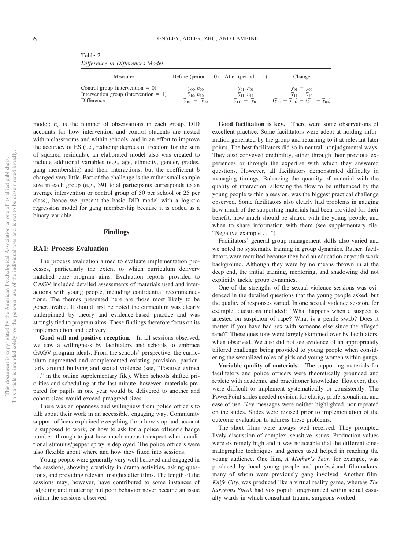| <b>Measures</b>                                                                               | Before (period = 0) After (period = 1)                             |                                                      | Change                                                                                             |
|-----------------------------------------------------------------------------------------------|--------------------------------------------------------------------|------------------------------------------------------|----------------------------------------------------------------------------------------------------|
| Control group (intervention $= 0$ )<br>Intervention group (intervention $= 1$ )<br>Difference | $y_{00}$ , $n_{00}$<br>$y_{10}$ , $n_{10}$<br>$v_{00}$<br>$v_{10}$ | $y_{01}$ , $n_{01}$<br>$y_{11}, n_{11}$<br>$-v_{01}$ | $y_{01} - y_{00}$<br>$- y_{10}$<br>$(\bar{y}_{11} - \bar{y}_{10}) - (\bar{y}_{01} - \bar{y}_{00})$ |

Table 2 *Difference in Differences Model*

model;  $n_{ij}$  is the number of observations in each group. DID accounts for how intervention and control students are nested within classrooms and within schools, and in an effort to improve the accuracy of ES (i.e., reducing degrees of freedom for the sum of squared residuals), an elaborated model also was created to include additional variables (e.g., age, ethnicity, gender, grades, gang membership) and their interactions, but the coefficient  $\delta$ changed very little. Part of the challenge is the rather small sample size in each group (e.g., 391 total participants corresponds to an average intervention or control group of 50 per school or 25 per class), hence we present the basic DID model with a logistic regression model for gang membership because it is coded as a binary variable.

#### **Findings**

#### **RA1: Process Evaluation**

The process evaluation aimed to evaluate implementation processes, particularly the extent to which curriculum delivery matched core program aims. Evaluation reports provided to GAGV included detailed assessments of materials used and interactions with young people, including confidential recommendations. The themes presented here are those most likely to be generalizable. It should first be noted the curriculum was clearly underpinned by theory and evidence-based practice and was strongly tied to program aims. These findings therefore focus on its implementation and delivery.

**Good will and positive reception.** In all sessions observed, we saw a willingness by facilitators and schools to embrace GAGV program ideals. From the schools' perspective, the curriculum augmented and complemented existing provision, particularly around bullying and sexual violence (see, "Positive extract . . ." in the online supplementary file). When schools shifted priorities and scheduling at the last minute, however, materials prepared for pupils in one year would be delivered to another and cohort sizes would exceed preagreed sizes.

There was an openness and willingness from police officers to talk about their work in an accessible, engaging way. Community support officers explained everything from how stop and account is supposed to work, or how to ask for a police officer's badge number, through to just how much mucus to expect when conditional stimulus/pepper spray is deployed. The police officers were also flexible about where and how they fitted into sessions.

Young people were generally very well behaved and engaged in the sessions, showing creativity in drama activities, asking questions, and providing relevant insights after films. The length of the sessions may, however, have contributed to some instances of fidgeting and muttering but poor behavior never became an issue within the sessions observed.

**Good facilitation is key.** There were some observations of excellent practice. Some facilitators were adept at holding information generated by the group and returning to it at relevant later points. The best facilitators did so in neutral, nonjudgmental ways. They also conveyed credibility, either through their previous experiences or through the expertise with which they answered questions. However, all facilitators demonstrated difficulty in managing timings. Balancing the quantity of material with the quality of interaction, allowing the flow to be influenced by the young people within a session, was the biggest practical challenge observed. Some facilitators also clearly had problems in gauging how much of the supporting materials had been provided for their benefit, how much should be shared with the young people, and when to share information with them (see supplementary file, "Negative example . . .").

Facilitators' general group management skills also varied and we noted no systematic training in group dynamics. Rather, facilitators were recruited because they had an education or youth work background. Although they were by no means thrown in at the deep end, the initial training, mentoring, and shadowing did not explicitly tackle group dynamics.

One of the strengths of the sexual violence sessions was evidenced in the detailed questions that the young people asked, but the quality of responses varied. In one sexual violence session, for example, questions included: "What happens when a suspect is arrested on suspicion of rape? What is a penile swab? Does it matter if you have had sex with someone else since the alleged rape?" These questions were largely skimmed over by facilitators, when observed. We also did not see evidence of an appropriately tailored challenge being provided to young people when considering the sexualized roles of girls and young women within gangs.

**Variable quality of materials.** The supporting materials for facilitators and police officers were theoretically grounded and replete with academic and practitioner knowledge. However, they were difficult to implement systematically or consistently. The PowerPoint slides needed revision for clarity, professionalism, and ease of use. Key messages were neither highlighted, nor repeated on the slides. Slides were revised prior to implementation of the outcome evaluation to address these problems.

The short films were always well received. They prompted lively discussion of complex, sensitive issues. Production values were extremely high and it was noticeable that the different cinematographic techniques and genres used helped in reaching the young audience. One film, *A Mother's Tear*, for example, was produced by local young people and professional filmmakers, many of whom were previously gang involved. Another film, *Knife City*, was produced like a virtual reality game, whereas *The Surgeons Speak* had vox populi foregrounded within actual casualty wards in which consultant trauma surgeons worked.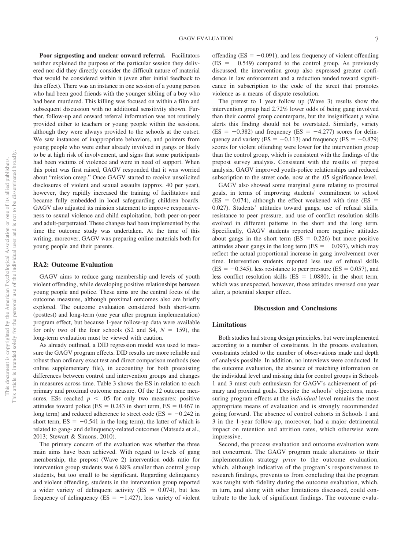**Poor signposting and unclear onward referral.** Facilitators neither explained the purpose of the particular session they delivered nor did they directly consider the difficult nature of material that would be considered within it (even after initial feedback to this effect). There was an instance in one session of a young person who had been good friends with the younger sibling of a boy who had been murdered. This killing was focused on within a film and subsequent discussion with no additional sensitivity shown. Further, follow-up and onward referral information was not routinely provided either to teachers or young people within the sessions, although they were always provided to the schools at the outset. We saw instances of inappropriate behaviors, and pointers from young people who were either already involved in gangs or likely to be at high risk of involvement, and signs that some participants had been victims of violence and were in need of support. When this point was first raised, GAGV responded that it was worried about "mission creep." Once GAGV started to receive unsolicited disclosures of violent and sexual assaults (approx. 40 per year), however, they rapidly increased the training of facilitators and became fully embedded in local safeguarding children boards. GAGV also adjusted its mission statement to improve responsiveness to sexual violence and child exploitation, both peer-on-peer and adult-perpetrated. These changes had been implemented by the time the outcome study was undertaken. At the time of this writing, moreover, GAGV was preparing online materials both for young people and their parents.

#### **RA2: Outcome Evaluation**

GAGV aims to reduce gang membership and levels of youth violent offending, while developing positive relationships between young people and police. These aims are the central focus of the outcome measures, although proximal outcomes also are briefly explored. The outcome evaluation considered both short-term (posttest) and long-term (one year after program implementation) program effect, but because 1-year follow-up data were available for only two of the four schools (S2 and S4,  $N = 159$ ), the long-term evaluation must be viewed with caution.

As already outlined, a DID regression model was used to measure the GAGV program effects. DID results are more reliable and robust than ordinary exact test and direct comparison methods (see online supplementary file), in accounting for both preexisting differences between control and intervention groups and changes in measures across time. Table 3 shows the ES in relation to each primary and proximal outcome measure. Of the 12 outcome measures, ESs reached  $p < .05$  for only two measures: positive attitudes toward police ( $ES = 0.243$  in short term,  $ES = 0.467$  in long term) and reduced adherence to street code ( $ES = -0.242$  in short term,  $ES = -0.541$  in the long term), the latter of which is related to gang- and delinquency-related outcomes (Matsuda et al., 2013; Stewart & Simons, 2010).

The primary concern of the evaluation was whether the three main aims have been achieved. With regard to levels of gang membership, the prepost (Wave 2) intervention odds ratio for intervention group students was 6.88% smaller than control group students, but too small to be significant. Regarding delinquency and violent offending, students in the intervention group reported a wider variety of delinquent activity ( $ES = 0.074$ ), but less frequency of delinquency (ES  $= -1.427$ ), less variety of violent offending ( $ES = -0.091$ ), and less frequency of violent offending  $(ES = -0.549)$  compared to the control group. As previously discussed, the intervention group also expressed greater confidence in law enforcement and a reduction tended toward significance in subscription to the code of the street that promotes violence as a means of dispute resolution.

The pretest to 1 year follow up (Wave 3) results show the intervention group had 2.72% lower odds of being gang involved than their control group counterparts, but the insignificant *p* value alerts this finding should not be overstated. Similarly, variety  $(ES = -0.382)$  and frequency  $(ES = -4.277)$  scores for delinquency and variety (ES =  $-0.113$ ) and frequency (ES =  $-0.879$ ) scores for violent offending were lower for the intervention group than the control group, which is consistent with the findings of the prepost survey analysis. Consistent with the results of prepost analysis, GAGV improved youth-police relationships and reduced subscription to the street code, now at the .05 significance level.

GAGV also showed some marginal gains relating to proximal goals, in terms of improving students' commitment to school  $(ES = 0.074)$ , although the effect weakened with time  $(ES = 0.074)$ 0.027). Students' attitudes toward gangs, use of refusal skills, resistance to peer pressure, and use of conflict resolution skills evolved in different patterns in the short and the long term. Specifically, GAGV students reported more negative attitudes about gangs in the short term  $(ES = 0.226)$  but more positive attitudes about gangs in the long term ( $ES = -0.097$ ), which may reflect the actual proportional increase in gang involvement over time. Intervention students reported less use of refusal skills  $(ES = -0.345)$ , less resistance to peer pressure ( $ES = 0.057$ ), and less conflict resolution skills ( $ES = 1.0880$ ), in the short term, which was unexpected, however, those attitudes reversed one year after, a potential sleeper effect.

#### **Discussion and Conclusions**

#### **Limitations**

Both studies had strong design principles, but were implemented according to a number of constraints. In the process evaluation, constraints related to the number of observations made and depth of analysis possible. In addition, no interviews were conducted. In the outcome evaluation, the absence of matching information on the individual level and missing data for control groups in Schools 1 and 3 must curb enthusiasm for GAGV's achievement of primary and proximal goals. Despite the schools' objections, measuring program effects at the *individual* level remains the most appropriate means of evaluation and is strongly recommended going forward. The absence of control cohorts in Schools 1 and 3 in the 1-year follow-up, moreover, had a major detrimental impact on retention and attrition rates, which otherwise were impressive.

Second, the process evaluation and outcome evaluation were not concurrent. The GAGV program made alterations to their implementation strategy *prior* to the outcome evaluation, which, although indicative of the program's responsiveness to research findings, prevents us from concluding that the program was taught with fidelity during the outcome evaluation, which, in turn, and along with other limitations discussed, could contribute to the lack of significant findings. The outcome evalu-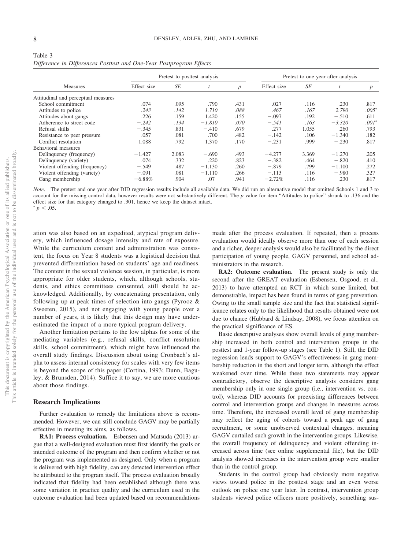| Table 3                                                             |  |  |
|---------------------------------------------------------------------|--|--|
| Difference in Differences Posttest and One-Year Postprogram Effects |  |  |

|                                     | Pretest to posttest analysis |           |          |                  | Pretest to one year after analysis |           |          |                  |
|-------------------------------------|------------------------------|-----------|----------|------------------|------------------------------------|-----------|----------|------------------|
| <b>Measures</b>                     | Effect size                  | <b>SE</b> |          | $\boldsymbol{p}$ | Effect size                        | <b>SE</b> |          | $\boldsymbol{p}$ |
| Attitudinal and perceptual measures |                              |           |          |                  |                                    |           |          |                  |
| School commitment                   | .074                         | .095      | .790     | .431             | .027                               | .116      | .230     | .817             |
| Attitudes to police                 | .243                         | .142      | 1.710    | .088             | .467                               | .167      | 2.790    | $.005*$          |
| Attitudes about gangs               | .226                         | .159      | 1.420    | .155             | $-.097$                            | .192      | $-.510$  | .611             |
| Adherence to street code            | $-.242$                      | .134      | $-1.810$ | .070             | $-.541$                            | .163      | $-3.320$ | $.001^*$         |
| Refusal skills                      | $-.345$                      | .831      | $-.410$  | .679             | .277                               | 1.055     | .260     | .793             |
| Resistance to peer pressure         | .057                         | .081      | .700     | .482             | $-.142$                            | .106      | $-1.340$ | .182             |
| Conflict resolution                 | 1.088                        | .792      | 1.370    | .170             | $-.231$                            | .999      | $-.230$  | .817             |
| Behavioral measures                 |                              |           |          |                  |                                    |           |          |                  |
| Delinquency (frequency)             | $-1.427$                     | 2.083     | $-.690$  | .493             | $-4.277$                           | 3.369     | $-1.270$ | .205             |
| Delinquency (variety)               | .074                         | .332      | .220     | .823             | $-.382$                            | .464      | $-.820$  | .410             |
| Violent offending (frequency)       | $-.549$                      | .487      | $-1.130$ | .260             | $-.879$                            | .799      | $-1.100$ | .272             |
| Violent offending (variety)         | $-.091$                      | .081      | $-1.110$ | .266             | $-.113$                            | .116      | $-.980$  | .327             |
| Gang membership                     | $-6.88\%$                    | .904      | .07      | .941             | $-2.72%$                           | .116      | .230     | .817             |

*Note*. The pretest and one year after DID regression results include all available data. We did run an alternative model that omitted Schools 1 and 3 to account for the missing control data, however results were not substantively different. The *p* value for item "Attitudes to police" shrunk to .136 and the effect size for that category changed to .301, hence we keep the dataset intact.  $p < .05$ .

ation was also based on an expedited, atypical program delivery, which influenced dosage intensity and rate of exposure. While the curriculum content and administration was consistent, the focus on Year 8 students was a logistical decision that prevented differentiation based on students' age and readiness. The content in the sexual violence session, in particular, is more appropriate for older students, which, although schools, students, and ethics committees consented, still should be acknowledged. Additionally, by concatenating presentation, only following up at peak times of selection into gangs (Pyrooz & Sweeten, 2015), and not engaging with young people over a number of years, it is likely that this design may have underestimated the impact of a more typical program delivery.

Another limitation pertains to the low alphas for some of the mediating variables (e.g., refusal skills, conflict resolution skills, school commitment), which might have influenced the overall study findings. Discussion about using Cronbach's alpha to assess internal consistency for scales with very few items is beyond the scope of this paper (Cortina, 1993; Dunn, Baguley, & Brunsden, 2014). Suffice it to say, we are more cautious about those findings.

#### **Research Implications**

Further evaluation to remedy the limitations above is recommended. However, we can still conclude GAGV may be partially effective in meeting its aims, as follows.

**RA1: Process evaluation.** Esbensen and Matsuda (2013) argue that a well-designed evaluation must first identify the goals or intended outcome of the program and then confirm whether or not the program was implemented as designed. Only when a program is delivered with high fidelity, can any detected intervention effect be attributed to the program itself. The process evaluation broadly indicated that fidelity had been established although there was some variation in practice quality and the curriculum used in the outcome evaluation had been updated based on recommendations

made after the process evaluation. If repeated, then a process evaluation would ideally observe more than one of each session and a richer, deeper analysis would also be facilitated by the direct participation of young people, GAGV personnel, and school administrators in the research.

**RA2: Outcome evaluation.** The present study is only the second after the GREAT evaluation (Esbensen, Osgood, et al., 2013) to have attempted an RCT in which some limited, but demonstrable, impact has been found in terms of gang prevention. Owing to the small sample size and the fact that statistical significance relates only to the likelihood that results obtained were not due to chance (Hubbard & Lindsay, 2008), we focus attention on the practical significance of ES.

Basic descriptive analyses show overall levels of gang membership increased in both control and intervention groups in the posttest and 1-year follow-up stages (see Table 1). Still, the DID regression lends support to GAGV's effectiveness in gang membership reduction in the short and longer term, although the effect weakened over time. While these two statements may appear contradictory, observe the descriptive analysis considers gang membership only in one single group (i.e., intervention vs. control), whereas DID accounts for preexisting differences between control and intervention groups and changes in measures across time. Therefore, the increased overall level of gang membership may reflect the aging of cohorts toward a peak age of gang recruitment, or some unobserved contextual changes, meaning GAGV curtailed such growth in the intervention groups. Likewise, the overall frequency of delinquency and violent offending increased across time (see online supplemental file), but the DID analysis showed increases in the intervention group were smaller than in the control group.

Students in the control group had obviously more negative views toward police in the posttest stage and an even worse outlook on police one year later. In contrast, intervention group students viewed police officers more positively, something sus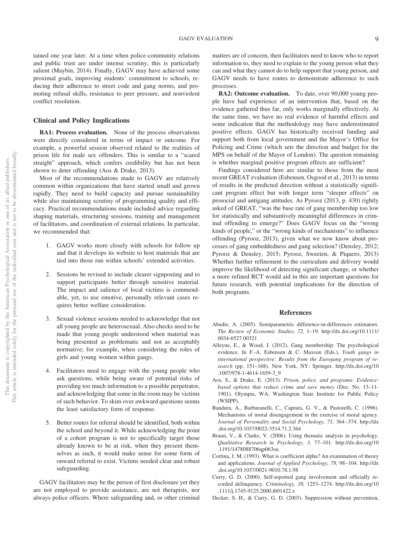tained one year later. At a time when police-community relations and public trust are under intense scrutiny, this is particularly salient (Maybin, 2014). Finally, GAGV may have achieved some proximal goals, improving students' commitment to schools, reducing their adherence to street code and gang norms, and promoting refusal skills, resistance to peer pressure, and nonviolent conflict resolution.

#### **Clinical and Policy Implications**

**RA1: Process evaluation.** None of the process observations were directly considered in terms of impact or outcome. For example, a powerful session observed related to the realities of prison life for male sex offenders. This is similar to a "scared straight" approach, which confers credibility but has not been shown to deter offending (Aos & Drake, 2013).

Most of the recommendations made to GAGV are relatively common within organizations that have started small and grown rapidly. They need to build capacity and pursue sustainability while also maintaining scrutiny of programming quality and efficacy. Practical recommendations made included advice regarding shaping materials, structuring sessions, training and management of facilitators, and coordination of external relations. In particular, we recommended that:

- 1. GAGV works more closely with schools for follow up and that it develops its website to host materials that are tied into those run within schools' extended activities.
- 2. Sessions be revised to include clearer signposting and to support participants better through sensitive material. The impact and salience of local victims is commendable, yet, to use emotive, personally relevant cases requires better welfare consideration.
- 3. Sexual violence sessions needed to acknowledge that not all young people are heterosexual. Also checks need to be made that young people understood when material was being presented as problematic and not as acceptably normative; for example, when considering the roles of girls and young women within gangs.
- 4. Facilitators need to engage with the young people who ask questions, while being aware of potential risks of providing too much information to a possible perpetrator, and acknowledging that some in the room may be victims of such behavior. To skim over awkward questions seems the least satisfactory form of response.
- 5. Better routes for referral should be identified, both within the school and beyond it. While acknowledging the point of a cohort program is not to specifically target those already known to be at risk, when they present themselves as such, it would make sense for some form of onward referral to exist. Victims needed clear and robust safeguarding.

GAGV facilitators may be the person of first disclosure yet they are not employed to provide assistance, are not therapists, nor always police officers. Where safeguarding and, or other criminal

matters are of concern, then facilitators need to know who to report information to, they need to explain to the young person what they can and what they cannot do to help support that young person, and GAGV needs to have routes to demonstrate adherence to such processes.

**RA2: Outcome evaluation.** To date, over 90,000 young people have had experience of an intervention that, based on the evidence gathered thus far, only works marginally effectively. At the same time, we have no real evidence of harmful effects and some indication that the methodology may have underestimated positive effects. GAGV has historically received funding and support both from local government and the Mayor's Office for Policing and Crime (which sets the direction and budget for the MPS on behalf of the Mayor of London). The question remaining is whether marginal positive program effects are sufficient?

Findings considered here are similar to those from the most recent GREAT evaluation (Esbensen, Osgood et al., 2013) in terms of results in the predicted direction without a statistically significant program effect but with longer term "sleeper effects" on prosocial and antigang attitudes. As Pyrooz (2013, p. 430) rightly asked of GREAT, "was the base rate of gang membership too low for statistically and substantively meaningful differences in criminal offending to emerge?" Does GAGV focus on the "wrong kinds of people," or the "wrong kinds of mechanisms" to influence offending (Pyrooz, 2013), given what we now know about processes of gang embeddedness and gang selection? (Densley, 2012; Pyrooz & Densley, 2015; Pyrooz, Sweeten, & Piquero, 2013) Whether further refinement to the curriculum and delivery would improve the likelihood of detecting significant change, or whether a more refined RCT would aid in this are important questions for future research, with potential implications for the direction of both programs.

#### **References**

- Abadie, A. (2005). Semiparametric difference-in-differences estimators. *The Review of Economic Studies, 72,* 1–19. http://dx.doi.org/10.1111/ 0034-6527.00321
- Alleyne, E., & Wood, J. (2012). Gang membership: The psychological evidence. In F.-A. Esbensen & C. Maxson (Eds.), *Youth gangs in international perspective: Results from the Eurogang program of research* (pp. 151–168). New York, NY: Springer. http://dx.doi.org/10 .1007/978-1-4614-1659-3\_9
- Aos, S., & Drake, E. (2013). *Prison, police, and programs: Evidencebased options that reduce crime and save money* (Doc. No. 13–11- 1901). Olympia, WA: Washington State Institute for Public Policy (WSIPP).
- Bandura, A., Barbaranelli, C., Caprara, G. V., & Pastorelli, C. (1996). Mechanisms of moral disengagement in the exercise of moral agency. *Journal of Personality and Social Psychology, 71,* 364 –374. http://dx .doi.org/10.1037/0022-3514.71.2.364
- Braun, V., & Clarke, V. (2006). Using thematic analysis in psychology. *Qualitative Research in Psychology, 3,* 77–101. http://dx.doi.org/10 .1191/1478088706qp063oa
- Cortina, J. M. (1993). What is coefficient alpha? An examination of theory and applications. *Journal of Applied Psychology, 78,* 98 –104. http://dx .doi.org/10.1037/0021-9010.78.1.98
- Curry, G. D. (2000). Self-reported gang involvement and officially recorded delinquency. *Criminology, 38,* 1253–1274. http://dx.doi.org/10 .1111/j.1745-9125.2000.tb01422.x
- Decker, S. H., & Curry, G. D. (2003). Suppression without prevention,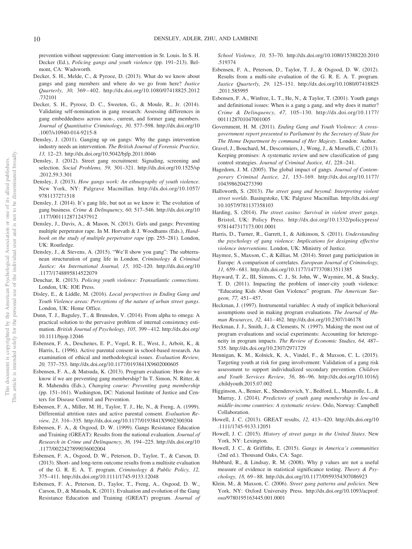prevention without suppression: Gang intervention in St. Louis. In S. H. Decker (Ed.), *Policing gangs and youth violence* (pp. 191–213). Belmont, CA: Wadsworth.

- Decker, S. H., Melde, C., & Pyrooz, D. (2013). What do we know about gangs and gang members and where do we go from here? *Justice Quarterly, 30,* 369 – 402. http://dx.doi.org/10.1080/07418825.2012 .732101
- Decker, S. H., Pyrooz, D. C., Sweeten, G., & Moule, R., Jr. (2014). Validating self-nomination in gang research: Assessing differences in gang embeddedness across non-, current, and former gang members. *Journal of Quantitative Criminology, 30,* 577–598. http://dx.doi.org/10 .1007/s10940-014-9215-8
- Densley, J. (2011). Ganging up on gangs: Why the gangs intervention industry needs an intervention. *The British Journal of Forensic Practice, 13,* 12–23. http://dx.doi.org/10.5042/bjfp.2011.0046
- Densley, J. (2012). Street gang recruitment: Signaling, screening and selection. *Social Problems, 59,* 301–321. http://dx.doi.org/10.1525/sp .2012.59.3.301
- Densley, J. (2013). *How gangs work: An ethnography of youth violence*. New York, NY: Palgrave Macmillan. http://dx.doi.org/10.1057/ 9781137271518
- Densley, J. (2014). It's gang life, but not as we know it: The evolution of gang business. *Crime & Delinquency, 60,* 517–546. http://dx.doi.org/10 .1177/0011128712437912
- Densley, J., Davis, A., & Mason, N. (2013). Girls and gangs: Preventing multiple perpetrator rape. In M. Horvath & J. Woodhams (Eds.), *Handbook on the study of multiple perpetrator rape* (pp. 255–281). London, UK: Routledge.
- Densley, J., & Stevens, A. (2015). "We'll show you gang": The subterranean structuration of gang life in London. *Criminology & Criminal Justice: An International Journal, 15,* 102–120. http://dx.doi.org/10 .1177/1748895814522079
- Deuchar, R. (2013). *Policing youth violence: Transatlantic connections*. London, UK: IOE Press.
- Disley, E., & Liddle, M. (2016). *Local perspectives in Ending Gang and Youth Violence areas: Perceptions of the nature of urban street gangs*. London, UK: Home Office.
- Dunn, T. J., Baguley, T., & Brunsden, V. (2014). From alpha to omega: A practical solution to the pervasive problem of internal consistency estimation. *British Journal of Psychology, 105,* 399 – 412. http://dx.doi.org/ 10.1111/bjop.12046
- Esbensen, F. A., Deschenes, E. P., Vogel, R. E., West, J., Arboit, K., & Harris, L. (1996). Active parental consent in school-based research. An examination of ethical and methodological issues. *Evaluation Review, 20,* 737–753. http://dx.doi.org/10.1177/0193841X9602000605
- Esbensen, F. A., & Matsuda, K. (2013). Program evaluation: How do we know if we are preventing gang membership? In T. Simon, N. Ritter, & R. Mahendra (Eds.), *Changing course: Preventing gang membership* (pp. 151–161). Washington, DC: National Institute of Justice and Centers for Disease Control and Prevention.
- Esbensen, F. A., Miller, M. H., Taylor, T. J., He, N., & Freng, A. (1999). Differential attrition rates and active parental consent. *Evaluation Review, 23,* 316 –335. http://dx.doi.org/10.1177/0193841X9902300304
- Esbensen, F. A., & Osgood, D. W. (1999). Gangs Resistance Education and Training (GREAT): Results from the national evaluation. *Journal of Research in Crime and Delinquency, 36,* 194 –225. http://dx.doi.org/10 .1177/0022427899036002004
- Esbensen, F. A., Osgood, D. W., Peterson, D., Taylor, T., & Carson, D. (2013). Short- and long-term outcome results from a multisite evaluation of the G. R. E. A. T. program. *Criminology & Public Policy, 12,* 375– 411. http://dx.doi.org/10.1111/1745-9133.12048
- Esbensen, F. A., Peterson, D., Taylor, T., Freng, A., Osgood, D. W., Carson, D., & Matsuda, K. (2011). Evaluation and evolution of the Gang Resistance Education and Training (GREAT) program. *Journal of*

*School Violence, 10,* 53–70. http://dx.doi.org/10.1080/15388220.2010 .519374

- Esbensen, F. A., Peterson, D., Taylor, T. J., & Osgood, D. W. (2012). Results from a multi-site evaluation of the G. R. E. A. T. program. *Justice Quarterly, 29,* 125–151. http://dx.doi.org/10.1080/07418825 .2011.585995
- Esbensen, F. A., Winfree, L. T., He, N., & Taylor, T. (2001). Youth gangs and definitional issues: When is a gang a gang, and why does it matter? *Crime & Delinquency, 47,* 105–130. http://dx.doi.org/10.1177/ 0011128701047001005
- Government, H. M. (2011). *Ending Gang and Youth Violence: A crossgovernment report presented to Parliament by the Secretary of State for The Home Department by command of Her Majesty*. London: Author.
- Gravel, J., Bouchard, M., Descormiers, J., Wong, J., & Morselli, C. (2013). Keeping promises: A systematic review and new classification of gang control strategies. *Journal of Criminal Justice, 41,* 228 –241.
- Hagedorn, J. M. (2005). The global impact of gangs. *Journal of Contemporary Criminal Justice, 21,* 153–169. http://dx.doi.org/10.1177/ 1043986204273390
- Hallsworth, S. (2013). *The street gang and beyond: Interpreting violent street worlds*. Basingstoke, UK: Palgrave Macmillan. http://dx.doi.org/ 10.1057/9781137358103
- Harding, S. (2014). *The street casino: Survival in violent street gangs*. Bristol, UK: Policy Press. http://dx.doi.org/10.1332/policypress/ 9781447317173.001.0001
- Harris, D., Turner, R., Garrett, I., & Aitkinson, S. (2011). *Understanding the psychology of gang violence: Implications for designing effective violence interventions*. London, UK: Ministry of Justice.
- Haymoz, S., Maxson, C., & Killias, M. (2014). Street gang participation in Europe: A comparison of correlates. *European Journal of Criminology, 11,* 659 – 681. http://dx.doi.org/10.1177/1477370813511385
- Hayward, T. Z., III, Simons, C. J., St. John, W., Waymire, M., & Stucky, T. D. (2011). Impacting the problem of inner-city youth violence: "Educating Kids About Gun Violence" program. *The American Surgeon, 77,* 451– 457.
- Heckman, J. (1997). Instrumental variables: A study of implicit behavioral assumptions used in making program evaluations. *The Journal of Human Resources, 32,* 441– 462. http://dx.doi.org/10.2307/146178
- Heckman, J. J., Smith, J., & Clements, N. (1997). Making the most out of program evaluations and social experiments: Accounting for heterogeneity in program impacts. *The Review of Economic Studies, 64,* 487– 535. http://dx.doi.org/10.2307/2971729
- Hennigan, K. M., Kolnick, K. A., Vindel, F., & Maxson, C. L. (2015). Targeting youth at risk for gang involvement: Validation of a gang risk assessment to support individualized secondary prevention. *Children and Youth Services Review, 56,* 86 –96. http://dx.doi.org/10.1016/j .childyouth.2015.07.002
- Higginson, A., Benier, K., Shenderovich, Y., Bedford, L., Mazerolle, L., & Murray, J. (2014). *Predictors of youth gang membership in low-and middle-income countries: A systematic review*. Oslo, Norway: Campbell Collaboration.
- Howell, J. C. (2013). GREAT results, *12,* 413– 420. http://dx.doi.org/10 .1111/1745-9133.12051
- Howell, J. C. (2015). *History of street gangs in the United States*. New York, NY: Lexington.
- Howell, J. C., & Griffiths, E. (2015). *Gangs in America's communities* (2nd ed.). Thousand Oaks, CA: Sage.
- Hubbard, R., & Lindsay, R. M. (2008). Why p values are not a useful measure of evidence in statistical significance testing. *Theory & Psychology, 18,* 69 – 88. http://dx.doi.org/10.1177/0959354307086923
- Klein, M., & Maxson, C. (2006). *Street gang patterns and policies*. New York, NY: Oxford University Press. http://dx.doi.org/10.1093/acprof: oso/9780195163445.001.0001